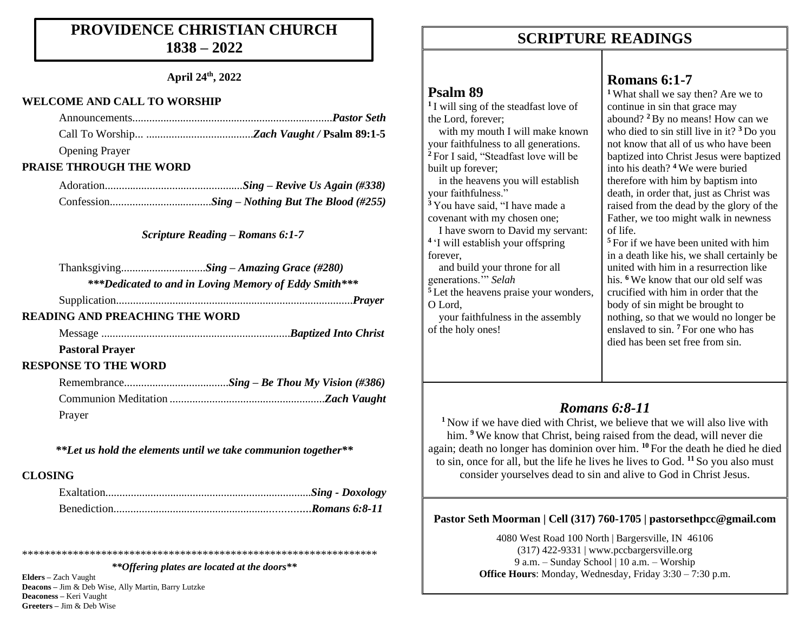### **PROVIDENCE CHRISTIAN CHURCH 1838 – 2022**

#### **April 24th, 2022**

#### **WELCOME AND CALL TO WORSHIP**

| <b>Opening Prayer</b>          |  |
|--------------------------------|--|
| <b>PRAISE THROUGH THE WORD</b> |  |

*Scripture Reading – Romans 6:1-7*

|                                       | ***Dedicated to and in Loving Memory of Eddy Smith*** |
|---------------------------------------|-------------------------------------------------------|
|                                       |                                                       |
| <b>READING AND PREACHING THE WORD</b> |                                                       |
|                                       |                                                       |

**Pastoral Prayer** 

#### **RESPONSE TO THE WORD**

| Prayer |  |
|--------|--|

*\*\*Let us hold the elements until we take communion together\*\**

#### **CLOSING**

\*\*\*\*\*\*\*\*\*\*\*\*\*\*\*\*\*\*\*\*\*\*\*\*\*\*\*\*\*\*\*\*\*\*\*\*\*\*\*\*\*\*\*\*\*\*\*\*\*\*\*\*\*\*\*\*\*\*\*\*\*\*\*

*\*\*Offering plates are located at the doors\*\**

**Elders –** Zach Vaught **Deacons –** Jim & Deb Wise, Ally Martin, Barry Lutzke **Deaconess –** Keri Vaught **Greeters –** Jim & Deb Wise

### **SCRIPTURE READINGS SCRIPTURE READINGS**

#### **Psalm 89**

**1** I will sing of the steadfast love of the Lord, forever;

 with my mouth I will make known your faithfulness to all generations. **<sup>2</sup>** For I said, "Steadfast love will be built up forever;

 in the heavens you will establish your faithfulness."

**<sup>3</sup>** You have said, "I have made a covenant with my chosen one; I have sworn to David my servant:

**4** 'I will establish your offspring forever,

 and build your throne for all generations.'" *Selah* <sup>5</sup> Let the heavens praise your wonders, O Lord,

 your faithfulness in the assembly of the holy ones!

### **Romans 6:1-7**

**<sup>1</sup>** What shall we say then? Are we to continue in sin that grace may abound? **<sup>2</sup>**By no means! How can we who died to sin still live in it? **<sup>3</sup>** Do you not know that all of us who have been baptized into Christ Jesus were baptized into his death? **<sup>4</sup>** We were buried therefore with him by baptism into death, in order that, just as Christ was raised from the dead by the glory of the Father, we too might walk in newness of life.

**<sup>5</sup>** For if we have been united with him in a death like his, we shall certainly be united with him in a resurrection like his. **<sup>6</sup>** We know that our old self was crucified with him in order that the body of sin might be brought to nothing, so that we would no longer be enslaved to sin. **<sup>7</sup>** For one who has died has been set free from sin.

### *Romans 6:8-11*

**<sup>1</sup>** Now if we have died with Christ, we believe that we will also live with him. <sup>9</sup> We know that Christ, being raised from the dead, will never die again; death no longer has dominion over him. **<sup>10</sup>** For the death he died he died to sin, once for all, but the life he lives he lives to God. **<sup>11</sup>** So you also must consider yourselves dead to sin and alive to God in Christ Jesus.

#### **Pastor Seth Moorman | Cell (317) 760-1705 | pastorsethpcc@gmail.com**

4080 West Road 100 North | Bargersville, IN 46106 (317) 422-9331 | www.pccbargersville.org 9 a.m. – Sunday School | 10 a.m. – Worship **Office Hours**: Monday, Wednesday, Friday 3:30 – 7:30 p.m.